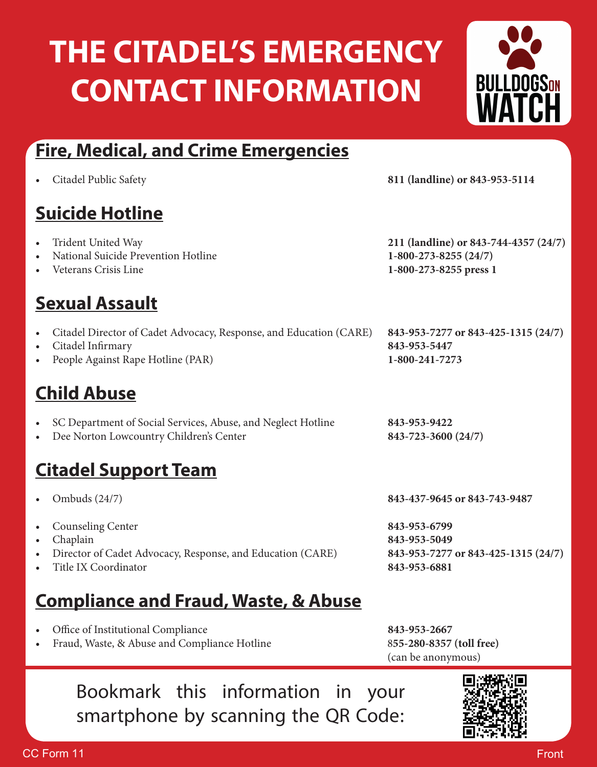# **THE CITADEL'S EMERGENCY CONTACT INFORMATION**

• Citadel Public Safety **811 (landline) or 843-953-5114**



- **Suicide Hotline** • Trident United Way **211 (landline) or 843-744-4357 (24/7)** • National Suicide Prevention Hotline **1-800-273-8255 (24/7)** • Veterans Crisis Line **1-800-273-8255 press 1 Sexual Assault** • Citadel Director of Cadet Advocacy, Response, and Education (CARE) **843-953-7277 or 843-425-1315 (24/7)** • Citadel Infirmary **843-953-5447** • People Against Rape Hotline (PAR) **1-800-241-7273 Child Abuse** SC Department of Social Services, Abuse, and Neglect Hotline • Dee Norton Lowcountry Children's Center **Citadel Support Team** • Ombuds  $(24/7)$ • Counseling Center • Chaplain • Director of Cadet Advocacy, Response, and Education (CARE) • Title IX Coordinator **843-953-9422 843-723-3600 (24/7) 843-437-9645 or 843-743-9487 843-953-6799 843-953-5049 843-953-7277 or 843-425-1315 (24/7) 843-953-6881**
- **Compliance and Fraud, Waste, & Abuse**
- Office of Institutional Compliance
- Fraud, Waste, & Abuse and Compliance Hotline

**843-953-2667** 8**55-280-8357 (toll free)** (can be anonymous)

Bookmark this information in your smartphone by scanning the QR Code:



**BULLDOGSON**